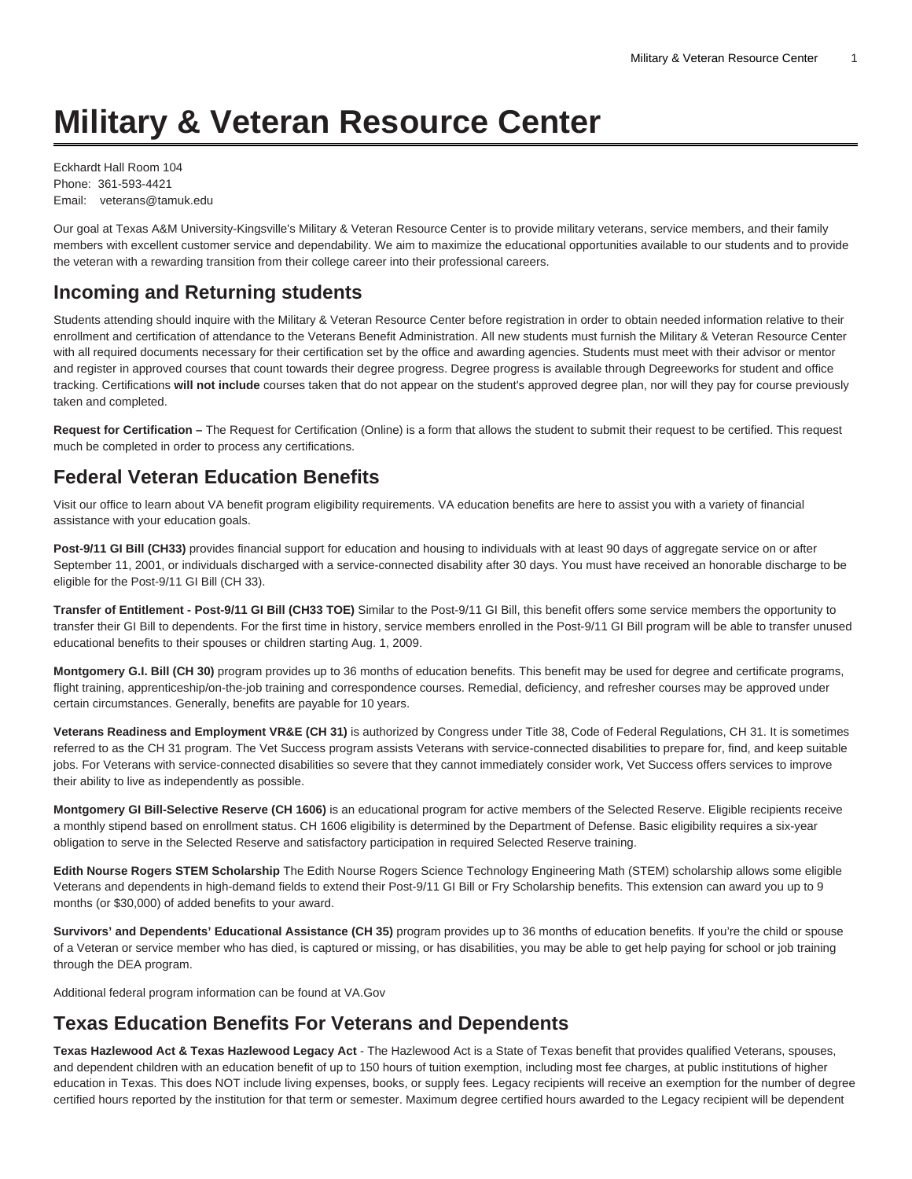# **Military & Veteran Resource Center**

Eckhardt Hall Room 104 Phone: 361-593-4421 Email: veterans@tamuk.edu

Our goal at Texas A&M University-Kingsville's Military & Veteran Resource Center is to provide military veterans, service members, and their family members with excellent customer service and dependability. We aim to maximize the educational opportunities available to our students and to provide the veteran with a rewarding transition from their college career into their professional careers.

## **Incoming and Returning students**

Students attending should inquire with the Military & Veteran Resource Center before registration in order to obtain needed information relative to their enrollment and certification of attendance to the Veterans Benefit Administration. All new students must furnish the Military & Veteran Resource Center with all required documents necessary for their certification set by the office and awarding agencies. Students must meet with their advisor or mentor and register in approved courses that count towards their degree progress. Degree progress is available through Degreeworks for student and office tracking. Certifications **will not include** courses taken that do not appear on the student's approved degree plan, nor will they pay for course previously taken and completed.

**Request for Certification –** The Request for Certification (Online) is a form that allows the student to submit their request to be certified. This request much be completed in order to process any certifications.

## **Federal Veteran Education Benefits**

Visit our office to learn about VA benefit program eligibility requirements. VA education benefits are here to assist you with a variety of financial assistance with your education goals.

Post-9/11 GI Bill (CH33) provides financial support for education and housing to individuals with at least 90 days of aggregate service on or after September 11, 2001, or individuals discharged with a service-connected disability after 30 days. You must have received an honorable discharge to be eligible for the Post-9/11 GI Bill (CH 33).

**Transfer of Entitlement - Post-9/11 GI Bill (CH33 TOE)** Similar to the Post-9/11 GI Bill, this benefit offers some service members the opportunity to transfer their GI Bill to dependents. For the first time in history, service members enrolled in the Post-9/11 GI Bill program will be able to transfer unused educational benefits to their spouses or children starting Aug. 1, 2009.

**Montgomery G.I. Bill (CH 30)** program provides up to 36 months of education benefits. This benefit may be used for degree and certificate programs, flight training, apprenticeship/on-the-job training and correspondence courses. Remedial, deficiency, and refresher courses may be approved under certain circumstances. Generally, benefits are payable for 10 years.

**Veterans Readiness and Employment VR&E (CH 31)** is authorized by Congress under Title 38, Code of Federal Regulations, CH 31. It is sometimes referred to as the CH 31 program. The Vet Success program assists Veterans with service-connected disabilities to prepare for, find, and keep suitable jobs. For Veterans with service-connected disabilities so severe that they cannot immediately consider work, Vet Success offers services to improve their ability to live as independently as possible.

**Montgomery GI Bill-Selective Reserve (CH 1606)** is an educational program for active members of the Selected Reserve. Eligible recipients receive a monthly stipend based on enrollment status. CH 1606 eligibility is determined by the Department of Defense. Basic eligibility requires a six-year obligation to serve in the Selected Reserve and satisfactory participation in required Selected Reserve training.

**Edith Nourse Rogers STEM Scholarship** The Edith Nourse Rogers Science Technology Engineering Math (STEM) scholarship allows some eligible Veterans and dependents in high-demand fields to extend their Post-9/11 GI Bill or Fry Scholarship benefits. This extension can award you up to 9 months (or \$30,000) of added benefits to your award.

**Survivors' and Dependents' Educational Assistance (CH 35)** program provides up to 36 months of education benefits. If you're the child or spouse of a Veteran or service member who has died, is captured or missing, or has disabilities, you may be able to get help paying for school or job training through the DEA program.

Additional federal program information can be found at [VA.Gov](https://benefits.va.gov/gibill/)

#### **Texas Education Benefits For Veterans and Dependents**

**Texas Hazlewood Act & Texas Hazlewood Legacy Act** - The Hazlewood Act is a State of Texas benefit that provides qualified Veterans, spouses, and dependent children with an education benefit of up to 150 hours of tuition exemption, including most fee charges, at public institutions of higher education in Texas. This does NOT include living expenses, books, or supply fees. Legacy recipients will receive an exemption for the number of degree certified hours reported by the institution for that term or semester. Maximum degree certified hours awarded to the Legacy recipient will be dependent